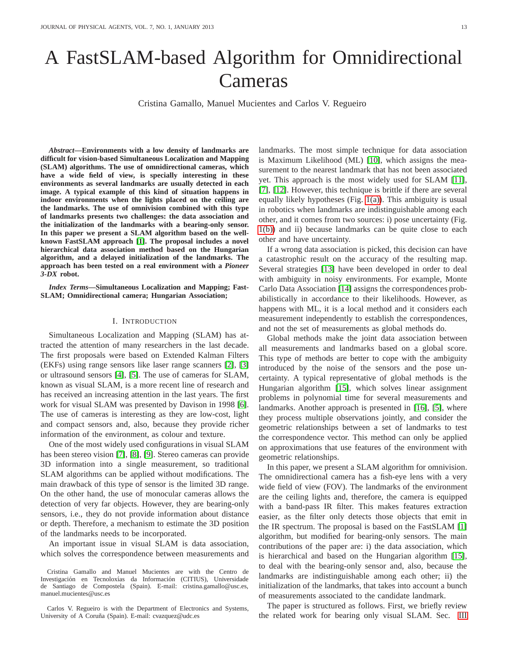# A FastSLAM-based Algorithm for Omnidirectional Cameras

Cristina Gamallo, Manuel Mucientes and Carlos V. Regueiro

*Abstract***—Environments with a low density of landmarks are difficult for vision-based Simultaneous Localization and Mapping (SLAM) algorithms. The use of omnidirectional cameras, which have a wide field of view, is specially interesting in these environments as several landmarks are usually detected in each image. A typical example of this kind of situation happens in indoor environments when the lights placed on the ceiling are the landmarks. The use of omnivision combined with this type of landmarks presents two challenges: the data association and the initialization of the landmarks with a bearing-only sensor. In this paper we present a SLAM algorithm based on the wellknown FastSLAM approach [\[1\]](#page-8-0). The proposal includes a novel hierarchical data association method based on the Hungarian algorithm, and a delayed initialization of the landmarks. The approach has been tested on a real environment with a** *Pioneer 3-DX* **robot.**

*Index Terms***—Simultaneous Localization and Mapping; Fast-SLAM; Omnidirectional camera; Hungarian Association;**

#### I. INTRODUCTION

Simultaneous Localization and Mapping (SLAM) has attracted the attention of many researchers in the last decade. The first proposals were based on Extended Kalman Filters (EKFs) using range sensors like laser range scanners [\[2\]](#page-8-1), [\[3\]](#page-8-2) or ultrasound sensors [\[4\]](#page-9-0), [\[5\]](#page-9-1). The use of cameras for SLAM, known as visual SLAM, is a more recent line of research and has received an increasing attention in the last years. The first work for visual SLAM was presented by Davison in 1998 [\[6\]](#page-9-2). The use of cameras is interesting as they are low-cost, light and compact sensors and, also, because they provide richer information of the environment, as colour and texture.

One of the most widely used configurations in visual SLAM has been stereo vision [\[7\]](#page-9-3), [\[8\]](#page-9-4), [\[9\]](#page-9-5). Stereo cameras can provide 3D information into a single measurement, so traditional SLAM algorithms can be applied without modifications. The main drawback of this type of sensor is the limited 3D range. On the other hand, the use of monocular cameras allows the detection of very far objects. However, they are bearing-only sensors, i.e., they do not provide information about distance or depth. Therefore, a mechanism to estimate the 3D position of the landmarks needs to be incorporated.

An important issue in visual SLAM is data association, which solves the correspondence between measurements and

Carlos V. Regueiro is with the Department of Electronics and Systems, University of A Coruña (Spain). E-mail: cvazquez@udc.es

landmarks. The most simple technique for data association is Maximum Likelihood (ML) [\[10\]](#page-9-6), which assigns the measurement to the nearest landmark that has not been associated yet. This approach is the most widely used for SLAM [\[11\]](#page-9-7), [\[7\]](#page-9-3), [\[12\]](#page-9-8). However, this technique is brittle if there are several equally likely hypotheses (Fig. [1\(a\)\)](#page-1-0). This ambiguity is usual in robotics when landmarks are indistinguishable among each other, and it comes from two sources: i) pose uncertainty (Fig. [1\(b\)\)](#page-1-1) and ii) because landmarks can be quite close to each other and have uncertainty.

If a wrong data association is picked, this decision can have a catastrophic result on the accuracy of the resulting map. Several strategies [\[13\]](#page-9-9) have been developed in order to deal with ambiguity in noisy environments. For example, Monte Carlo Data Association [\[14\]](#page-9-10) assigns the correspondences probabilistically in accordance to their likelihoods. However, as happens with ML, it is a local method and it considers each measurement independently to establish the correspondences, and not the set of measurements as global methods do.

Global methods make the joint data association between all measurements and landmarks based on a global score. This type of methods are better to cope with the ambiguity introduced by the noise of the sensors and the pose uncertainty. A typical representative of global methods is the Hungarian algorithm [\[15\]](#page-9-11), which solves linear assignment problems in polynomial time for several measurements and landmarks. Another approach is presented in [\[16\]](#page-9-12), [\[5\]](#page-9-1), where they process multiple observations jointly, and consider the geometric relationships between a set of landmarks to test the correspondence vector. This method can only be applied on approximations that use features of the environment with geometric relationships.

In this paper, we present a SLAM algorithm for omnivision. The omnidirectional camera has a fish-eye lens with a very wide field of view (FOV). The landmarks of the environment are the ceiling lights and, therefore, the camera is equipped with a band-pass IR filter. This makes features extraction easier, as the filter only detects those objects that emit in the IR spectrum. The proposal is based on the FastSLAM [\[1\]](#page-8-0) algorithm, but modified for bearing-only sensors. The main contributions of the paper are: i) the data association, which is hierarchical and based on the Hungarian algorithm [\[15\]](#page-9-11), to deal with the bearing-only sensor and, also, because the landmarks are indistinguishable among each other; ii) the initialization of the landmarks, that takes into account a bunch of measurements associated to the candidate landmark.

The paper is structured as follows. First, we briefly review the related work for bearing only visual SLAM. Sec. [III](#page-1-2)

Cristina Gamallo and Manuel Mucientes are with the Centro de Investigación en Tecnoloxías da Información (CITIUS), Universidade de Santiago de Compostela (Spain). E-mail: cristina.gamallo@usc.es, manuel.mucientes@usc.es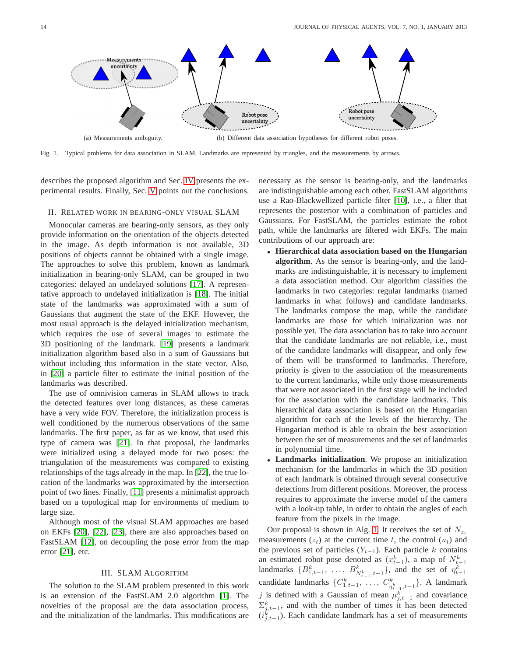<span id="page-1-0"></span>

Fig. 1. Typical problems for data association in SLAM. Landmarks are represented by triangles, and the measurements by arrows.

describes the proposed algorithm and Sec. [IV](#page-5-0) presents the experimental results. Finally, Sec. [V](#page-8-3) points out the conclusions.

#### II. RELATED WORK IN BEARING-ONLY VISUAL SLAM

Monocular cameras are bearing-only sensors, as they only provide information on the orientation of the objects detected in the image. As depth information is not available, 3D positions of objects cannot be obtained with a single image. The approaches to solve this problem, known as landmark initialization in bearing-only SLAM, can be grouped in two categories: delayed an undelayed solutions [\[17\]](#page-9-13). A representative approach to undelayed initialization is [\[18\]](#page-9-14). The initial state of the landmarks was approximated with a sum of Gaussians that augment the state of the EKF. However, the most usual approach is the delayed initialization mechanism, which requires the use of several images to estimate the 3D positioning of the landmark. [\[19\]](#page-9-15) presents a landmark initialization algorithm based also in a sum of Gaussians but without including this information in the state vector. Also, in [\[20\]](#page-9-16) a particle filter to estimate the initial position of the landmarks was described.

The use of omnivision cameras in SLAM allows to track the detected features over long distances, as these cameras have a very wide FOV. Therefore, the initialization process is well conditioned by the numerous observations of the same landmarks. The first paper, as far as we know, that used this type of camera was [\[21\]](#page-9-17). In that proposal, the landmarks were initialized using a delayed mode for two poses: the triangulation of the measurements was compared to existing relationships of the tags already in the map. In [\[22\]](#page-9-18), the true location of the landmarks was approximated by the intersection point of two lines. Finally, [\[11\]](#page-9-7) presents a minimalist approach based on a topological map for environments of medium to large size.

Although most of the visual SLAM approaches are based on EKFs [\[20\]](#page-9-16), [\[22\]](#page-9-18), [\[23\]](#page-9-19), there are also approaches based on FastSLAM [\[12\]](#page-9-8), on decoupling the pose error from the map error [\[21\]](#page-9-17), etc.

## III. SLAM ALGORITHM

<span id="page-1-2"></span>The solution to the SLAM problem presented in this work is an extension of the FastSLAM 2.0 algorithm [\[1\]](#page-8-0). The novelties of the proposal are the data association process, and the initialization of the landmarks. This modifications are <span id="page-1-1"></span>necessary as the sensor is bearing-only, and the landmarks are indistinguishable among each other. FastSLAM algorithms use a Rao-Blackwellized particle filter [\[10\]](#page-9-6), i.e., a filter that represents the posterior with a combination of particles and Gaussians. For FastSLAM, the particles estimate the robot path, while the landmarks are filtered with EKFs. The main contributions of our approach are:

- **Hierarchical data association based on the Hungarian algorithm**. As the sensor is bearing-only, and the landmarks are indistinguishable, it is necessary to implement a data association method. Our algorithm classifies the landmarks in two categories: regular landmarks (named landmarks in what follows) and candidate landmarks. The landmarks compose the map, while the candidate landmarks are those for which initialization was not possible yet. The data association has to take into account that the candidate landmarks are not reliable, i.e., most of the candidate landmarks will disappear, and only few of them will be transformed to landmarks. Therefore, priority is given to the association of the measurements to the current landmarks, while only those measurements that were not associated in the first stage will be included for the association with the candidate landmarks. This hierarchical data association is based on the Hungarian algorithm for each of the levels of the hierarchy. The Hungarian method is able to obtain the best association between the set of measurements and the set of landmarks in polynomial time.
- **Landmarks initialization**. We propose an initialization mechanism for the landmarks in which the 3D position of each landmark is obtained through several consecutive detections from different positions. Moreover, the process requires to approximate the inverse model of the camera with a look-up table, in order to obtain the angles of each feature from the pixels in the image.

Our proposal is shown in Alg. [1.](#page-2-0) It receives the set of  $N_{z_t}$ measurements  $(z_t)$  at the current time t, the control  $(u_t)$  and the previous set of particles  $(Y_{t-1})$ . Each particle k contains an estimated robot pose denoted as  $(x_{t-1}^k)$ , a map of  $N_{t-1}^k$ landmarks  $\{B_{1,t-1}^k, \ldots, B_{N_{t-1},t-1}^k\}$ , and the set of  $\eta_{t-1}^k$ candidate landmarks  $\{C_{1,t-1}^k, \ldots, C_{n_{t-1}^k,t-1}^k\}$ . A landmark j is defined with a Gaussian of mean  $\mu_{j,t-1}^k$  and covariance  $\Sigma_{j,t-1}^k$ , and with the number of times it has been detected  $(i_{j,t-1}^k)$ . Each candidate landmark has a set of measurements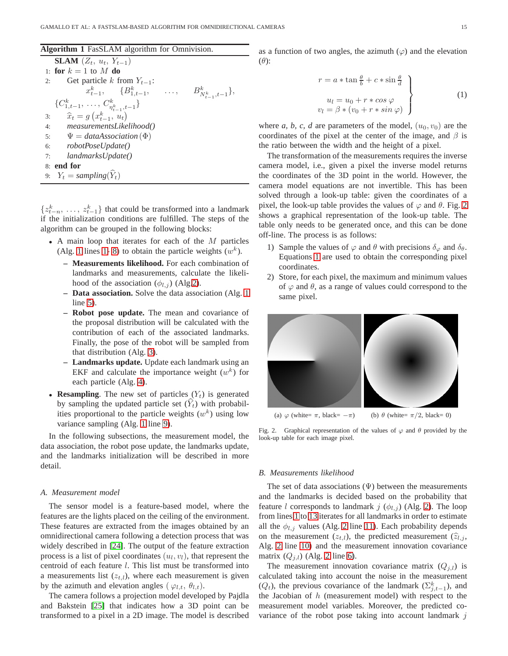<span id="page-2-0"></span>

|  |  |  |  |  |  | Algorithm 1 FasSLAM algorithm for Omnivision. |
|--|--|--|--|--|--|-----------------------------------------------|
|--|--|--|--|--|--|-----------------------------------------------|

| <b>SLAM</b> $(Z_t, u_t, Y_{t-1})$                          |  |
|------------------------------------------------------------|--|
| 1: for $k=1$ to M do                                       |  |
| Get particle k from $Y_{t-1}$ :<br>2:                      |  |
| $x_{t-1}^k$ , $\{B_{1,t-1}^k, \ldots, B_{N_{t-1},t-1}^k\}$ |  |
| $\{C_{1,t-1}^k, \ldots, C_{\eta_{t-1}^k,t-1}^k\}$          |  |
| 3: $\hat{x}_t = g(x_{t-1}^k, u_t)$                         |  |
| 4: measurementsLikelihood()                                |  |
| 5: $\Psi = data Association(\Phi)$                         |  |
| 6: robotPoseUpdate()                                       |  |
| landmarksUpdate()<br>7:                                    |  |
| 8: end for                                                 |  |
| 9: $Y_t = sampling(\hat{Y}_t)$                             |  |

 $\{z_{t-n}^k, \ldots, z_{t-1}^k\}$  that could be transformed into a landmark if the initialization conditions are fulfilled. The steps of the algorithm can be grouped in the following blocks:

- A main loop that iterates for each of the  $M$  particles (Alg. [1](#page-2-0) lines 1-8) to obtain the particle weights  $(w^k)$ .
	- **Measurements likelihood.** For each combination of landmarks and measurements, calculate the likelihood of the association  $(\phi_{l,j})$  (Alg[.2\)](#page-3-0).
	- **Data association.** Solve the data association (Alg. [1](#page-2-0) line [5\)](#page-1-2).
	- **Robot pose update.** The mean and covariance of the proposal distribution will be calculated with the contribution of each of the associated landmarks. Finally, the pose of the robot will be sampled from that distribution (Alg. [3\)](#page-3-1).
	- **Landmarks update.** Update each landmark using an EKF and calculate the importance weight  $(w<sup>k</sup>)$  for each particle (Alg. [4\)](#page-4-0).
- **Resampling**. The new set of particles  $(Y_t)$  is generated by sampling the updated particle set  $(Y_t)$  with probabilities proportional to the particle weights  $(w<sup>k</sup>)$  using low variance sampling (Alg. [1](#page-2-0) line [9\)](#page-1-2).

In the following subsections, the measurement model, the data association, the robot pose update, the landmarks update, and the landmarks initialization will be described in more detail.

## *A. Measurement model*

The sensor model is a feature-based model, where the features are the lights placed on the ceiling of the environment. These features are extracted from the images obtained by an omnidirectional camera following a detection process that was widely described in [\[24\]](#page-9-20). The output of the feature extraction process is a list of pixel coordinates  $(u_l, v_l)$ , that represent the centroid of each feature l. This list must be transformed into a measurements list  $(z_{t,l})$ , where each measurement is given by the azimuth and elevation angles ( $\varphi_{l,t}, \theta_{l,t}$ ).

The camera follows a projection model developed by Pajdla and Bakstein [\[25\]](#page-9-21) that indicates how a 3D point can be transformed to a pixel in a 2D image. The model is described as a function of two angles, the azimuth  $(\varphi)$  and the elevation  $(\theta)$ :

<span id="page-2-2"></span>
$$
r = a * \tan \frac{\theta}{b} + c * \sin \frac{\theta}{d}
$$
  
\n
$$
u_l = u_0 + r * \cos \varphi
$$
  
\n
$$
v_l = \beta * (v_0 + r * \sin \varphi)
$$
\n(1)

where *a*, *b*, *c*, *d* are parameters of the model,  $(u_0, v_0)$  are the coordinates of the pixel at the center of the image, and  $\beta$  is the ratio between the width and the height of a pixel.

The transformation of the measurements requires the inverse camera model, i.e., given a pixel the inverse model returns the coordinates of the 3D point in the world. However, the camera model equations are not invertible. This has been solved through a look-up table: given the coordinates of a pixel, the look-up table provides the values of  $\varphi$  and  $\theta$ . Fig. [2](#page-2-1) shows a graphical representation of the look-up table. The table only needs to be generated once, and this can be done off-line. The process is as follows:

- 1) Sample the values of  $\varphi$  and  $\theta$  with precisions  $\delta_{\varphi}$  and  $\delta_{\theta}$ . Equations [1](#page-2-2) are used to obtain the corresponding pixel coordinates.
- 2) Store, for each pixel, the maximum and minimum values of  $\varphi$  and  $\theta$ , as a range of values could correspond to the same pixel.



<span id="page-2-1"></span>Fig. 2. Graphical representation of the values of  $\varphi$  and  $\theta$  provided by the look-up table for each image pixel.

## <span id="page-2-3"></span>*B. Measurements likelihood*

The set of data associations  $(\Psi)$  between the measurements and the landmarks is decided based on the probability that feature l corresponds to landmark j  $(\phi_{l,i})$  (Alg. [2\)](#page-3-0). The loop from lines [1](#page-2-3) to [13](#page-3-2) iterates for all landmarks in order to estimate all the  $\phi_{l,j}$  values (Alg. [2](#page-3-0) line [11\)](#page-2-3). Each probability depends on the measurement  $(z_{t,l})$ , the predicted measurement  $(\hat{z}_{l,j},\hat{z}_{l,j})$ Alg. [2](#page-3-0) line [10\)](#page-2-3) and the measurement innovation covariance matrix  $(Q_{j,l})$  (Alg. [2](#page-3-0) line [6\)](#page-2-3).

The measurement innovation covariance matrix  $(Q_{j,l})$  is calculated taking into account the noise in the measurement  $(Q_t)$ , the previous covariance of the landmark  $(\sum_{j,t=1}^k)$ , and the Jacobian of  $h$  (measurement model) with respect to the measurement model variables. Moreover, the predicted covariance of the robot pose taking into account landmark  $j$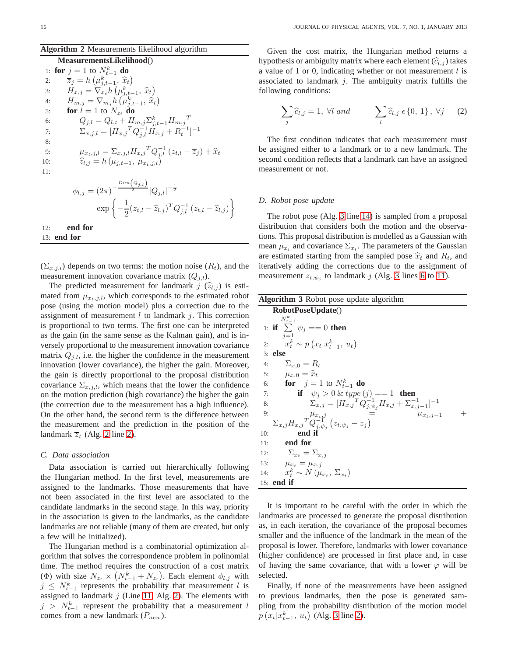## <span id="page-3-0"></span>**Algorithm 2** Measurements likelihood algorithm

#### **MeasurementsLikelihood**()

|     | 1: for $j = 1$ to $N_{t-1}^k$ do                                                                                                                                                                                      |
|-----|-----------------------------------------------------------------------------------------------------------------------------------------------------------------------------------------------------------------------|
| 2:  | $\overline{z}_j = h\left(\mu_{i,t-1}^k, \, \widehat{x}_t\right)$                                                                                                                                                      |
| 3:  | $H_{x,j} = \nabla_{x_i} h\left(\mu_{i,t-1}^k, \, \widehat{x}_t\right)$                                                                                                                                                |
| 4:  | $H_{m,j} = \nabla_{m,j} h\left(\mu_{i,t-1}^k, \hat{x}_t\right)$                                                                                                                                                       |
| 5:  | for $l = 1$ to $N_{z_t}$ do                                                                                                                                                                                           |
| 6:  | $Q_{j,l} = Q_{l,t} + H_{m,j} \Sigma_{j,t-1}^k H_{m,j}^T$                                                                                                                                                              |
| 7:  | $\Sigma_{x,j,l} = [H_{x,j}^T Q_{i,l}^{-1} H_{x,j} + R_t^{-1}]^{-1}$                                                                                                                                                   |
| 8:  |                                                                                                                                                                                                                       |
| 9:  | $\begin{array}{l} \mu_{x_t,j,l} = \sum_{x,j,l} H_{x,j}^{\ \ T} Q_{j,l}^{-1} \left( z_{t,l} - \overline{z}_j \right) + \widehat{x}_t \\ \widehat{z}_{l,j} = h \left( \mu_{j,t-1}, \ \mu_{x_t,j,l} \right) \end{array}$ |
| 10: |                                                                                                                                                                                                                       |
| 11: |                                                                                                                                                                                                                       |
|     |                                                                                                                                                                                                                       |
|     | $\phi_{l,j} = (2\pi)^{-\frac{Dim(Q_{j,l})}{2}} Q_{j,l} ^{-\frac{1}{2}}$                                                                                                                                               |

$$
q_{l,j} = (2\pi)^{-\frac{2}{2}} |Q_{j,l}|^{-\frac{1}{2}}
$$

$$
\exp\left\{-\frac{1}{2}(z_{t,l} - \widehat{z}_{l,j})^T Q_{j,l}^{-1} (z_{t,l} - \widehat{z}_{l,j})\right\}
$$

12: **end for** 13: **end for**

 $(\Sigma_{x,j,l})$  depends on two terms: the motion noise  $(R_t)$ , and the measurement innovation covariance matrix  $(Q_{i,l})$ .

The predicted measurement for landmark  $j(\hat{z}_{l,j})$  is estimated from  $\mu_{x_t,j,l}$ , which corresponds to the estimated robot pose (using the motion model) plus a correction due to the assignment of measurement  $l$  to landmark  $j$ . This correction is proportional to two terms. The first one can be interpreted as the gain (in the same sense as the Kalman gain), and is inversely proportional to the measurement innovation covariance matrix  $Q_{j,l}$ , i.e. the higher the confidence in the measurement innovation (lower covariance), the higher the gain. Moreover, the gain is directly proportional to the proposal distribution covariance  $\Sigma_{x,j,l}$ , which means that the lower the confidence on the motion prediction (high covariance) the higher the gain (the correction due to the measurement has a high influence). On the other hand, the second term is the difference between the measurement and the prediction in the position of the landmark  $\overline{z}_t$  (Alg. [2](#page-3-0) line [2\)](#page-2-3).

## <span id="page-3-4"></span>*C. Data association*

Data association is carried out hierarchically following the Hungarian method. In the first level, measurements are assigned to the landmarks. Those measurements that have not been associated in the first level are associated to the candidate landmarks in the second stage. In this way, priority in the association is given to the landmarks, as the candidate landmarks are not reliable (many of them are created, but only a few will be initialized).

The Hungarian method is a combinatorial optimization algorithm that solves the correspondence problem in polinomial time. The method requires the construction of a cost matrix ( $\Phi$ ) with size  $N_{z_t} \times (N_{t-1}^k + N_{z_t})$ . Each element  $\phi_{l,j}$  with  $j \leq N_{t-1}^k$  represents the probability that measurement l is assigned to landmark  $j$  (Line [11,](#page-2-3) Alg. [2\)](#page-3-0). The elements with  $j > N_{t-1}^k$  represent the probability that a measurement l comes from a new landmark  $(P_{new})$ .

Given the cost matrix, the Hungarian method returns a hypothesis or ambiguity matrix where each element  $(\widehat{c}_{l,i})$  takes a value of 1 or 0, indicating whether or not measurement  $l$  is associated to landmark  $j$ . The ambiguity matrix fulfills the following conditions:

<span id="page-3-2"></span>
$$
\sum_{j} \widehat{c}_{l,j} = 1, \ \forall l \ and \qquad \sum_{l} \widehat{c}_{l,j} \ \epsilon \left\{0, \ 1\right\}, \ \forall j \qquad (2)
$$

The first condition indicates that each measurement must be assigned either to a landmark or to a new landmark. The second condition reflects that a landmark can have an assigned measurement or not.

#### <span id="page-3-3"></span>*D. Robot pose update*

The robot pose (Alg. [3](#page-3-1) line [14\)](#page-3-3) is sampled from a proposal distribution that considers both the motion and the observations. This proposal distribution is modelled as a Gaussian with mean  $\mu_{x_t}$  and covariance  $\Sigma_{x_t}$ . The parameters of the Gaussian are estimated starting from the sampled pose  $\hat{x}_t$  and  $R_t$ , and iteratively adding the corrections due to the assignment of measurement  $z_{t, \psi_j}$  to landmark j (Alg. [3](#page-3-1) lines [6](#page-3-3) to [11\)](#page-3-3).

<span id="page-3-1"></span>

| <b>Algorithm 3</b> Robot pose update algorithm                                                                       |  |  |  |  |  |  |
|----------------------------------------------------------------------------------------------------------------------|--|--|--|--|--|--|
| RobotPoseUpdate()                                                                                                    |  |  |  |  |  |  |
| $N_{t-1}^k$                                                                                                          |  |  |  |  |  |  |
| 1: if $\sum \psi_i == 0$ then                                                                                        |  |  |  |  |  |  |
| $i=1$<br>$x_t^k \sim p(x_t   x_{t-1}^k, u_t)$<br>2:                                                                  |  |  |  |  |  |  |
| $3:$ else                                                                                                            |  |  |  |  |  |  |
| $\Sigma_{x,0}=R_t$<br>4:                                                                                             |  |  |  |  |  |  |
| 5: $\mu_{x,0} = \hat{x}_t$                                                                                           |  |  |  |  |  |  |
| <b>for</b> $j = 1$ to $N_{t-1}^k$ <b>do</b><br>6:                                                                    |  |  |  |  |  |  |
| if $\psi_i > 0$ & type $(j) == 1$ then<br>7:                                                                         |  |  |  |  |  |  |
| $\sum_{x,j}^{ }=[H_{x,j}{}^{T}Q_{j,\psi_j}^{-1}H_{x,j}+\sum_{x,j}^{-1}]^{-1}$<br>8:                                  |  |  |  |  |  |  |
| 9:<br>$\sim$ $=$<br>$\mu_{x_i,i-1}$                                                                                  |  |  |  |  |  |  |
| $\sum_{x,j} H_{x,j}^T \overline{\overset{\mu_{x_t,j}}{Q_{j,\psi_j}^{-1}}}\left(z_{t,\psi_j} - \overline{z}_j\right)$ |  |  |  |  |  |  |
| end if<br>10:                                                                                                        |  |  |  |  |  |  |
| end for<br>11:                                                                                                       |  |  |  |  |  |  |
| $\Sigma_{x_i} = \Sigma_{x_i}$<br>12:                                                                                 |  |  |  |  |  |  |
| 13:<br>$\mu_{x_i} = \mu_{x,j}$                                                                                       |  |  |  |  |  |  |
| $x_t^k \sim N(\mu_{x_t}, \Sigma_{x_t})$<br>14:                                                                       |  |  |  |  |  |  |
| $15:$ end if                                                                                                         |  |  |  |  |  |  |

It is important to be careful with the order in which the landmarks are processed to generate the proposal distribution as, in each iteration, the covariance of the proposal becomes smaller and the influence of the landmark in the mean of the proposal is lower. Therefore, landmarks with lower covariance (higher confidence) are processed in first place and, in case of having the same covariance, that with a lower  $\varphi$  will be selected.

Finally, if none of the measurements have been assigned to previous landmarks, then the pose is generated sampling from the probability distribution of the motion model  $p(x_t|x_{t-1}^k, u_t)$  (Alg. [3](#page-3-1) line [2\)](#page-3-3).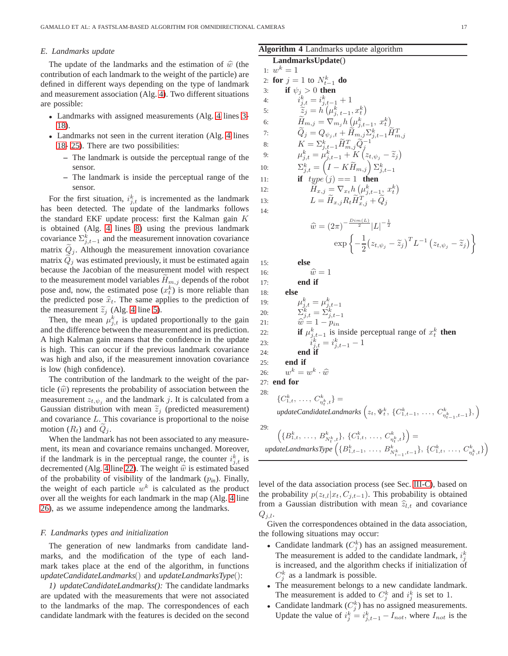## <span id="page-4-1"></span>*E. Landmarks update*

The update of the landmarks and the estimation of  $\hat{w}$  (the contribution of each landmark to the weight of the particle) are defined in different ways depending on the type of landmark and measurement association (Alg. [4\)](#page-4-0). Two different situations are possible:

- Landmarks with assigned measurements (Alg. [4](#page-4-0) lines [3-](#page-4-1) [18\)](#page-4-2).
- Landmarks not seen in the current iteration (Alg. [4](#page-4-0) lines [18- 25\)](#page-4-2). There are two possibilities:
	- **–** The landmark is outside the perceptual range of the sensor.
	- **–** The landmark is inside the perceptual range of the sensor.

For the first situation,  $i_{j,t}^k$  is incremented as the landmark has been detected. The update of the landmarks follows the standard EKF update process: first the Kalman gain  $K$ is obtained (Alg. [4](#page-4-0) lines [8\)](#page-4-1) using the previous landmark covariance  $\sum_{j,t=1}^{k}$  and the measurement innovation covariance matrix  $Q_j$ . Although the measurement innovation covariance matrix  $\ddot{Q}_j$  was estimated previously, it must be estimated again because the Jacobian of the measurement model with respect to the measurement model variables  $H_{m,j}$  depends of the robot pose and, now, the estimated pose  $(x_t^k)$  is more reliable than the predicted pose  $\hat{x}_t$ . The same applies to the prediction of the measurement  $\tilde{z}_j$  (Alg. [4](#page-4-0) line [5\)](#page-4-1).

Then, the mean  $\mu_{j,t}^k$  is updated proportionally to the gain and the difference between the measurement and its prediction. A high Kalman gain means that the confidence in the update is high. This can occur if the previous landmark covariance was high and also, if the measurement innovation covariance is low (high confidence).

The contribution of the landmark to the weight of the particle  $(\widehat{w})$  represents the probability of association between the measurement  $z_{t, \psi_j}$  and the landmark j. It is calculated from a Gaussian distribution with mean  $\tilde{z}_j$  (predicted measurement) and covariance L. This covariance is proportional to the noise motion  $(R_t)$  and  $Q_i$ .

When the landmark has not been associated to any measurement, its mean and covariance remains unchanged. Moreover, if the landmark is in the perceptual range, the counter  $i_{j,t}^k$  is decremented (Alg. [4](#page-4-0) line [22\)](#page-4-2). The weight  $\hat{w}$  is estimated based of the probability of visibility of the landmark  $(p_{in})$ . Finally, the weight of each particle  $w^k$  is calculated as the product over all the weights for each landmark in the map (Alg. [4](#page-4-0) line [26\)](#page-4-2), as we assume independence among the landmarks.

## *F. Landmarks types and initialization*

The generation of new landmarks from candidate landmarks, and the modification of the type of each landmark takes place at the end of the algorithm, in functions *updateCandidateLandmarks*() and *updateLandmarksType*():

*1) updateCandidateLandmarks():* The candidate landmarks are updated with the measurements that were not associated to the landmarks of the map. The correspondences of each candidate landmark with the features is decided on the second

## <span id="page-4-0"></span>**Algorithm 4** Landmarks update algorithm

<span id="page-4-2"></span>**LandmarksUpdate**() 1:  $w^k = 1$ 2: **for**  $j = 1$  to  $N_{t-1}^k$  **do** 3: **if**  $\psi_j > 0$  **then**  $4:$  $k_{j,t}^k = i_{j,t-1}^k + 1$ 5:  $\widetilde{z}_j = h'(\mu_{j, t-1}^k, x_t^k)$ 6:  $\widetilde{H}_{m,j} = \nabla_{m_j} h \left( \mu_{j,t-1}^k, x_t^k \right)$ 7:  $\widetilde{Q}_j = Q_{\psi_j,t} + \widetilde{H}_{m,j} \Sigma_{j,t-1}^k \widetilde{H}_{m,j}^T$ <br>
8:  $K = \Sigma_{j,t-1}^k \widetilde{H}_{m,j}^T \widetilde{Q}_j^{-1}$ <br>
9:  $\mu_{j,t}^k = \mu_{j,t-1}^k + K \left( z_{t,\psi_j} - \widetilde{z}_j \right)$ 10:  $\Sigma_{j,t}^k = \left(I - K\widetilde{H}_{m,j}\right)\Sigma_{j,t-1}^k$ 11: **if**  $type(i) == 1$  **then** 12:  $\widetilde{H}_{x,j} = \nabla_{x_t} h\left(\mu_{j,t-1}^k, x_t^k\right)$ 13:  $L = \widetilde{H}_{x,j} R_t \widetilde{H}_{x,j}^T + \widetilde{Q}_j$  $14.$  $\hat{w} = (2\pi)^{-\frac{Dim(L)}{2}}|L|^{-\frac{1}{2}}$  $\exp\left\{-\frac{1}{2}\right\}$ 2  $(z_{t, \psi_j} - \widetilde{z}_j)^T L^{-1} (z_{t, \psi_j} - \widetilde{z}_j) \bigg\}$ 15: **else** 16:  $\widehat{w} = 1$ <br>17: **end if** end if 18: **else** 19:  $\mu_{j,t}^k = \mu_{j,t-1}^k$ 20:  $\Sigma_{j,t}^k = \Sigma_{j,t-1}^k$ 21:  $\hat{w} = 1 - p_{in}$ <br>
22: **if**  $\mu_{j,t-1}^k$  is inside perceptual range of  $x_t^k$  **then** 23:  $i_{j,t}^k = i_{j,t-1}^k - 1$ 24: **end if** 25: **end if** 26:  $w^k = w^k \cdot \hat{w}$ 27: **end for** 28:  $\{C_{1,t}^k, \ldots, C_{\eta_t^k,t}^k\} =$  $updateCandidateLandmarks \left( z_t, \Psi_t^k, \{ C_{1,t-1}^k, \ldots, C_{\eta_{t-1}^k,t-1}^k \}, \right)$ 29:  $\left(\{B^k_{1,t},\,\ldots,\,B^k_{N_t^k,t}\},\,\{C^k_{1,t},\,\ldots,\,C^k_{\eta^k_t,t}\}\right)=$  $W_t, t^{(k)}$ ,  $W_t, t^{(k)}$ ,  $W_t, t^{(k)}$ ,  $W_{n_t}$ ,  $W_t$ ,  $W_{n_t}$ ,  $W_t$ ,  $W_{n_t}$ ,  $W_t$ ,  $W_{n_t}$ ,  $W_t$ ,  $W_{n_t}$ ,  $W_t$ ,  $W_t$ ,  $W_t$ ,  $W_t$ ,  $W_t$ ,  $W_t$ ,  $W_t$ ,  $W_t$ ,  $W_t$ ,  $W_t$ ,  $W_t$ ,  $W_t$ ,  $W_t$ ,  $W_t$ ,  $W_t$ ,  $W_t$ ,  $W_t$ ,  $W_t$ ,  $W_t$ ,  $W$ 

level of the data association process (see Sec. [III-C\)](#page-3-4), based on the probability  $p(z_{t,l}|x_t, C_{j,t-1})$ . This probability is obtained from a Gaussian distribution with mean  $\hat{z}_{l,t}$  and covariance  $Q_{j,l}$ .

Given the correspondences obtained in the data association, the following situations may occur:

- Candidate landmark  $(C_j^k)$  has an assigned measurement. The measurement is added to the candidate landmark,  $i_j^k$ is increased, and the algorithm checks if initialization of  $C_j^k$  as a landmark is possible.
- The measurement belongs to a new candidate landmark. The measurement is added to  $C_j^k$  and  $i_j^k$  is set to 1.
- Candidate landmark  $(C_j^k)$  has no assigned measurements. Update the value of  $i_j^k = i_{j,t-1}^k - I_{not}$ , where  $I_{not}$  is the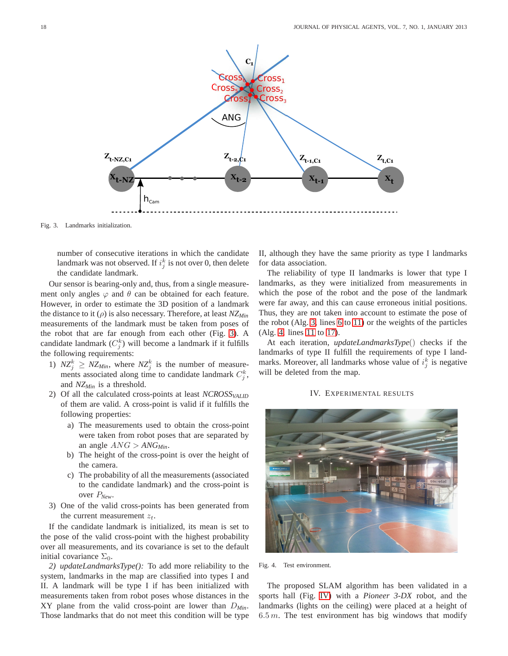

Fig. 3. Landmarks initialization.

<span id="page-5-1"></span>number of consecutive iterations in which the candidate landmark was not observed. If  $i_j^k$  is not over 0, then delete the candidate landmark.

Our sensor is bearing-only and, thus, from a single measurement only angles  $\varphi$  and  $\theta$  can be obtained for each feature. However, in order to estimate the 3D position of a landmark the distance to it (ρ) is also necessary. Therefore, at least *NZMin* measurements of the landmark must be taken from poses of the robot that are far enough from each other (Fig. [3\)](#page-5-1). A candidate landmark  $(C_j^k)$  will become a landmark if it fulfills the following requirements:

- 1)  $NZ_j^k \geq NZ_{Min}$ , where  $NZ_j^k$  is the number of measurements associated along time to candidate landmark  $C_j^k$ , and *NZMin* is a threshold.
- 2) Of all the calculated cross-points at least *NCROSSVALID* of them are valid. A cross-point is valid if it fulfills the following properties:
	- a) The measurements used to obtain the cross-point were taken from robot poses that are separated by an angle  $\text{ANG} > \text{ANG}_{\text{Min}}$ .
	- b) The height of the cross-point is over the height of the camera.
	- c) The probability of all the measurements (associated to the candidate landmark) and the cross-point is over P*New*.
- 3) One of the valid cross-points has been generated from the current measurement  $z_t$ .

If the candidate landmark is initialized, its mean is set to the pose of the valid cross-point with the highest probability over all measurements, and its covariance is set to the default initial covariance  $\Sigma_0$ .

*2) updateLandmarksType():* To add more reliability to the system, landmarks in the map are classified into types I and II. A landmark will be type I if has been initialized with measurements taken from robot poses whose distances in the XY plane from the valid cross-point are lower than D*Min*. Those landmarks that do not meet this condition will be type II, although they have the same priority as type I landmarks for data association.

The reliability of type II landmarks is lower that type I landmarks, as they were initialized from measurements in which the pose of the robot and the pose of the landmark were far away, and this can cause erroneous initial positions. Thus, they are not taken into account to estimate the pose of the robot (Alg. [3,](#page-3-1) lines [6](#page-3-3) to [11\)](#page-3-3) or the weights of the particles (Alg. [4,](#page-4-0) lines [11](#page-4-1) to [17\)](#page-4-2).

At each iteration, *updateLandmarksType*() checks if the landmarks of type II fulfill the requirements of type I landmarks. Moreover, all landmarks whose value of  $i_j^k$  is negative will be deleted from the map.

#### IV. EXPERIMENTAL RESULTS

<span id="page-5-0"></span>

Fig. 4. Test environment.

The proposed SLAM algorithm has been validated in a sports hall (Fig. [IV\)](#page-5-0) with a *Pioneer 3-DX* robot, and the landmarks (lights on the ceiling) were placed at a height of  $6.5 m$ . The test environment has big windows that modify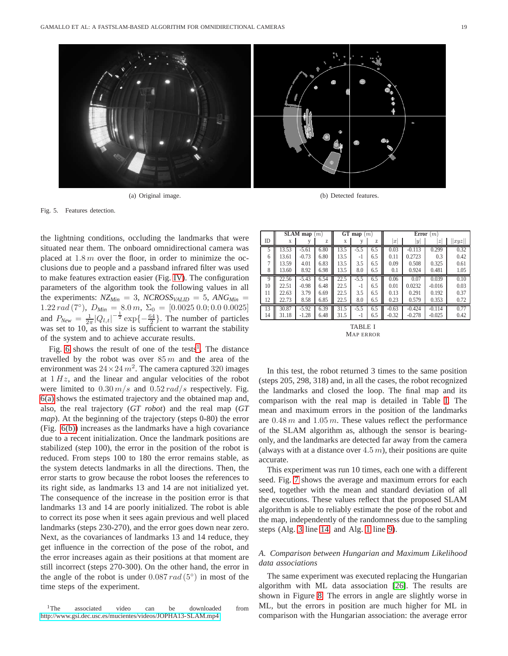

(a) Original image. (b) Detected features.

Fig. 5. Features detection.

the lightning conditions, occluding the landmarks that were situated near them. The onboard omnidirectional camera was placed at  $1.8 \, m$  over the floor, in order to minimize the occlusions due to people and a passband infrared filter was used to make features extraction easier (Fig. [IV\)](#page-6-0). The configuration parameters of the algorithm took the following values in all the experiments:  $NZ_{Min} = 3$ ,  $NCROSS_{VALID} = 5$ ,  $ANG_{Min} =$ 1.22 rad (7°),  $D_{Min} = 8.0 \, m$ ,  $\Sigma_0 = [0.0025 \, 0.0; 0.0 \, 0.0025]$ and  $P_{New} = \frac{1}{2\pi} |Q_{l,t}|^{-\frac{1}{2}} \exp\{-\frac{64}{2}\}\.$  The number of particles was set to  $10$ , as this size is sufficient to warrant the stability of the system and to achieve accurate results.

Fig. [6](#page-7-0) shows the result of one of the tests<sup>[1](#page-6-1)</sup>. The distance travelled by the robot was over  $85 m$  and the area of the environment was  $24 \times 24$   $m^2$ . The camera captured 320 images at  $1 Hz$ , and the linear and angular velocities of the robot were limited to  $0.30 \, m/s$  and  $0.52 \, rad/s$  respectively. Fig. [6\(a\)](#page-7-1) shows the estimated trajectory and the obtained map and, also, the real trajectory (*GT robot*) and the real map (*GT map*). At the beginning of the trajectory (steps 0-80) the error (Fig. [6\(b\)\)](#page-7-2) increases as the landmarks have a high covariance due to a recent initialization. Once the landmark positions are stabilized (step 100), the error in the position of the robot is reduced. From steps 100 to 180 the error remains stable, as the system detects landmarks in all the directions. Then, the error starts to grow because the robot looses the references to its right side, as landmarks 13 and 14 are not initialized yet. The consequence of the increase in the position error is that landmarks 13 and 14 are poorly initialized. The robot is able to correct its pose when it sees again previous and well placed landmarks (steps 230-270), and the error goes down near zero. Next, as the covariances of landmarks 13 and 14 reduce, they get influence in the correction of the pose of the robot, and the error increases again as their positions at that moment are still incorrect (steps 270-300). On the other hand, the error in the angle of the robot is under  $0.087$  rad  $(5^{\circ})$  in most of the time steps of the experiment.

<span id="page-6-1"></span><sup>1</sup>The associated video can be downloaded from <http://www.gsi.dec.usc.es/mucientes/videos/JOPHA13-SLAM.mp4>

<span id="page-6-0"></span>

|    | SLAM map $(m)$ |         |      | GT map $(m)$ |        | Error $(m)$ |                  |          |                |      |
|----|----------------|---------|------|--------------|--------|-------------|------------------|----------|----------------|------|
| ID | X              | V       | Z    | X            |        | Z           | $\boldsymbol{x}$ | y        | $\overline{z}$ | xyz  |
|    | 13.53          | $-5.61$ | 6.80 | 13.5         | $-5.5$ | 6.5         | 0.03             | $-0.113$ | 0.299          | 0.32 |
| 6  | 13.61          | $-0.73$ | 6.80 | 13.5         | $-1$   | 6.5         | 0.11             | 0.2723   | 0.3            | 0.42 |
|    | 13.59          | 4.01    | 6.83 | 13.5         | 3.5    | 6.5         | 0.09             | 0.508    | 0.325          | 0.61 |
| 8  | 13.60          | 8.92    | 6.98 | 13.5         | 8.0    | 6.5         | 0.1              | 0.924    | 0.481          | 1.05 |
| 9  | 22.56          | $-5.43$ | 6.54 | 22.5         | $-5.5$ | 6.5         | 0.06             | 0.07     | 0.039          | 0.10 |
| 10 | 22.51          | $-0.98$ | 6.48 | 22.5         | -1     | 6.5         | 0.01             | 0.0232   | $-0.016$       | 0.03 |
| 11 | 22.63          | 3.79    | 6.69 | 22.5         | 3.5    | 6.5         | 0.13             | 0.291    | 0.192          | 0.37 |
| 12 | 22.73          | 8.58    | 6.85 | 22.5         | 8.0    | 6.5         | 0.23             | 0.579    | 0.353          | 0.72 |
| 13 | 30.87          | $-5.92$ | 6.39 | 31.5         | $-5.5$ | 6.5         | $-0.63$          | $-0.424$ | $-0.114$       | 0.77 |
| 14 | 31.18          | $-1.28$ | 6.48 | 31.5         | $-1$   | 6.5         | $-0.32$          | $-0.278$ | $-0.025$       | 0.42 |

<span id="page-6-2"></span>

In this test, the robot returned 3 times to the same position (steps 205, 298, 318) and, in all the cases, the robot recognized the landmarks and closed the loop. The final map and its comparison with the real map is detailed in Table [I.](#page-6-2) The mean and maximum errors in the position of the landmarks are  $0.48 \, m$  and  $1.05 \, m$ . These values reflect the performance of the SLAM algorithm as, although the sensor is bearingonly, and the landmarks are detected far away from the camera (always with at a distance over  $4.5 \, m$ ), their positions are quite accurate.

This experiment was run 10 times, each one with a different seed. Fig. [7](#page-8-4) shows the average and maximum errors for each seed, together with the mean and standard deviation of all the executions. These values reflect that the proposed SLAM algorithm is able to reliably estimate the pose of the robot and the map, independently of the randomness due to the sampling steps (Alg. [3](#page-3-1) line [14,](#page-3-3) and Alg. [1](#page-2-0) line [9\)](#page-1-2).

## *A. Comparison between Hungarian and Maximum Likelihood data associations*

The same experiment was executed replacing the Hungarian algorithm with ML data association [\[26\]](#page-9-22). The results are shown in Figure [8.](#page-8-5) The errors in angle are slightly worse in ML, but the errors in position are much higher for ML in comparison with the Hungarian association: the average error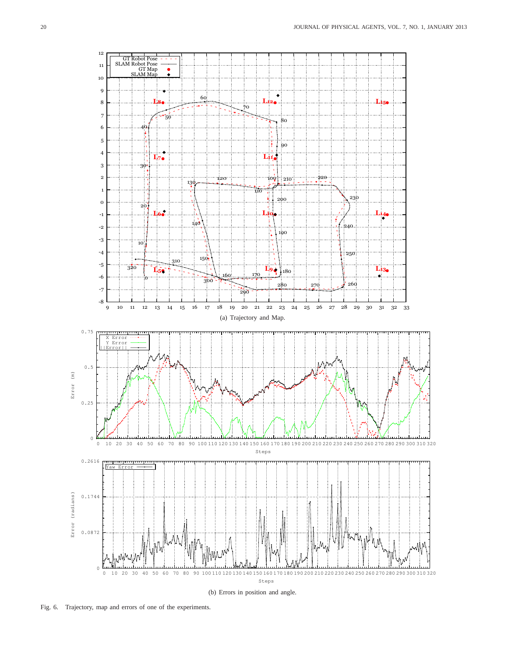<span id="page-7-1"></span>

<span id="page-7-2"></span><span id="page-7-0"></span>Fig. 6. Trajectory, map and errors of one of the experiments.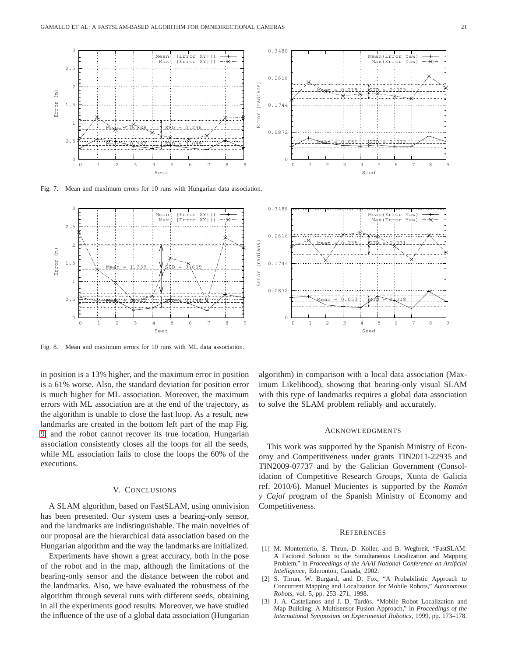

Fig. 7. Mean and maximum errors for 10 runs with Hungarian data association.

<span id="page-8-4"></span>

<span id="page-8-5"></span>Fig. 8. Mean and maximum errors for 10 runs with ML data association.

in position is a 13% higher, and the maximum error in position is a 61% worse. Also, the standard deviation for position error is much higher for ML association. Moreover, the maximum errors with ML association are at the end of the trajectory, as the algorithm is unable to close the last loop. As a result, new landmarks are created in the bottom left part of the map Fig. [9,](#page-9-23) and the robot cannot recover its true location. Hungarian association consistently closes all the loops for all the seeds, while ML association fails to close the loops the 60% of the executions.

### V. CONCLUSIONS

<span id="page-8-3"></span>A SLAM algorithm, based on FastSLAM, using omnivision has been presented. Our system uses a bearing-only sensor, and the landmarks are indistinguishable. The main novelties of our proposal are the hierarchical data association based on the Hungarian algorithm and the way the landmarks are initialized.

Experiments have shown a great accuracy, both in the pose of the robot and in the map, although the limitations of the bearing-only sensor and the distance between the robot and the landmarks. Also, we have evaluated the robustness of the algorithm through several runs with different seeds, obtaining in all the experiments good results. Moreover, we have studied the influence of the use of a global data association (Hungarian



algorithm) in comparison with a local data association (Maximum Likelihood), showing that bearing-only visual SLAM with this type of landmarks requires a global data association to solve the SLAM problem reliably and accurately.

#### ACKNOWLEDGMENTS

This work was supported by the Spanish Ministry of Economy and Competitiveness under grants TIN2011-22935 and TIN2009-07737 and by the Galician Government (Consolidation of Competitive Research Groups, Xunta de Galicia ref. 2010/6). Manuel Mucientes is supported by the *Ramon´ y Cajal* program of the Spanish Ministry of Economy and Competitiveness.

#### **REFERENCES**

- <span id="page-8-0"></span>[1] M. Montemerlo, S. Thrun, D. Koller, and B. Wegbreit, "FastSLAM: A Factored Solution to the Simultaneous Localization and Mapping Problem," in *Proceedings of the AAAI National Conference on Artificial Intelligence*, Edmonton, Canada, 2002.
- <span id="page-8-1"></span>[2] S. Thrun, W. Burgard, and D. Fox, "A Probabilistic Approach to Concurrent Mapping and Localization for Mobile Robots," *Autonomous Robots*, vol. 5, pp. 253–271, 1998.
- <span id="page-8-2"></span>[3] J. A. Castellanos and J. D. Tardós, "Mobile Robot Localization and Map Building: A Multisensor Fusion Approach," in *Proceedings of the International Symposium on Experimental Robotics*, 1999, pp. 173–178.